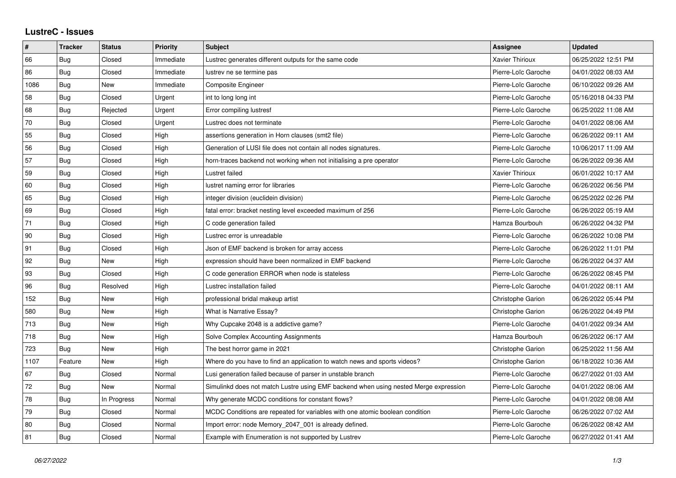| $\vert$ # | <b>Tracker</b> | <b>Status</b> | <b>Priority</b> | <b>Subject</b>                                                                       | Assignee                 | <b>Updated</b>      |
|-----------|----------------|---------------|-----------------|--------------------------------------------------------------------------------------|--------------------------|---------------------|
| 66        | Bug            | Closed        | Immediate       | Lustrec generates different outputs for the same code                                | Xavier Thirioux          | 06/25/2022 12:51 PM |
| 86        | Bug            | Closed        | Immediate       | lustrev ne se termine pas                                                            | Pierre-Loïc Garoche      | 04/01/2022 08:03 AM |
| 1086      | Bug            | <b>New</b>    | Immediate       | Composite Engineer                                                                   | Pierre-Loïc Garoche      | 06/10/2022 09:26 AM |
| 58        | Bug            | Closed        | Urgent          | int to long long int                                                                 | Pierre-Loïc Garoche      | 05/16/2018 04:33 PM |
| 68        | Bua            | Rejected      | Urgent          | Error compiling lustresf                                                             | Pierre-Loïc Garoche      | 06/25/2022 11:08 AM |
| 70        | Bug            | Closed        | Urgent          | Lustrec does not terminate                                                           | Pierre-Loïc Garoche      | 04/01/2022 08:06 AM |
| 55        | Bug            | Closed        | High            | assertions generation in Horn clauses (smt2 file)                                    | Pierre-Loïc Garoche      | 06/26/2022 09:11 AM |
| 56        | Bug            | Closed        | High            | Generation of LUSI file does not contain all nodes signatures.                       | Pierre-Loïc Garoche      | 10/06/2017 11:09 AM |
| 57        | Bug            | Closed        | High            | horn-traces backend not working when not initialising a pre operator                 | Pierre-Loïc Garoche      | 06/26/2022 09:36 AM |
| 59        | Bug            | Closed        | High            | Lustret failed                                                                       | Xavier Thirioux          | 06/01/2022 10:17 AM |
| 60        | Bug            | Closed        | High            | lustret naming error for libraries                                                   | Pierre-Loïc Garoche      | 06/26/2022 06:56 PM |
| 65        | <b>Bug</b>     | Closed        | High            | integer division (euclidein division)                                                | Pierre-Loïc Garoche      | 06/25/2022 02:26 PM |
| 69        | Bug            | Closed        | High            | fatal error: bracket nesting level exceeded maximum of 256                           | Pierre-Loïc Garoche      | 06/26/2022 05:19 AM |
| $71$      | Bug            | Closed        | High            | C code generation failed                                                             | Hamza Bourbouh           | 06/26/2022 04:32 PM |
| 90        | Bug            | Closed        | High            | Lustrec error is unreadable                                                          | Pierre-Loïc Garoche      | 06/26/2022 10:08 PM |
| 91        | Bug            | Closed        | High            | Json of EMF backend is broken for array access                                       | Pierre-Loïc Garoche      | 06/26/2022 11:01 PM |
| 92        | Bug            | New           | High            | expression should have been normalized in EMF backend                                | Pierre-Loïc Garoche      | 06/26/2022 04:37 AM |
| 93        | <b>Bug</b>     | Closed        | High            | C code generation ERROR when node is stateless                                       | Pierre-Loïc Garoche      | 06/26/2022 08:45 PM |
| 96        | Bug            | Resolved      | High            | Lustrec installation failed                                                          | Pierre-Loïc Garoche      | 04/01/2022 08:11 AM |
| 152       | Bug            | <b>New</b>    | High            | professional bridal makeup artist                                                    | Christophe Garion        | 06/26/2022 05:44 PM |
| 580       | <b>Bug</b>     | <b>New</b>    | High            | What is Narrative Essay?                                                             | <b>Christophe Garion</b> | 06/26/2022 04:49 PM |
| 713       | Bug            | <b>New</b>    | High            | Why Cupcake 2048 is a addictive game?                                                | Pierre-Loïc Garoche      | 04/01/2022 09:34 AM |
| 718       | Bug            | <b>New</b>    | High            | Solve Complex Accounting Assignments                                                 | Hamza Bourbouh           | 06/26/2022 06:17 AM |
| 723       | Bug            | New           | High            | The best horror game in 2021                                                         | Christophe Garion        | 06/25/2022 11:56 AM |
| 1107      | Feature        | <b>New</b>    | High            | Where do you have to find an application to watch news and sports videos?            | <b>Christophe Garion</b> | 06/18/2022 10:36 AM |
| 67        | Bug            | Closed        | Normal          | Lusi generation failed because of parser in unstable branch                          | Pierre-Loïc Garoche      | 06/27/2022 01:03 AM |
| 72        | Bug            | <b>New</b>    | Normal          | Simulinkd does not match Lustre using EMF backend when using nested Merge expression | Pierre-Loïc Garoche      | 04/01/2022 08:06 AM |
| 78        | Bug            | In Progress   | Normal          | Why generate MCDC conditions for constant flows?                                     | Pierre-Loïc Garoche      | 04/01/2022 08:08 AM |
| 79        | Bug            | Closed        | Normal          | MCDC Conditions are repeated for variables with one atomic boolean condition         | Pierre-Loïc Garoche      | 06/26/2022 07:02 AM |
| 80        | Bug            | Closed        | Normal          | Import error: node Memory_2047_001 is already defined.                               | Pierre-Loïc Garoche      | 06/26/2022 08:42 AM |
| 81        | Bug            | Closed        | Normal          | Example with Enumeration is not supported by Lustrev                                 | Pierre-Loïc Garoche      | 06/27/2022 01:41 AM |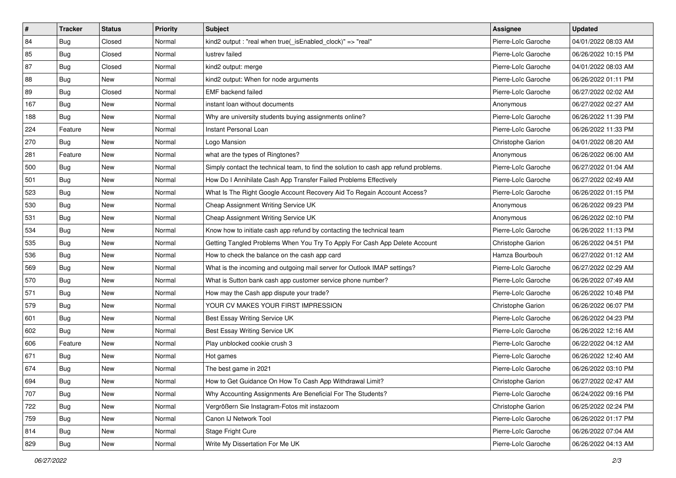| ∦   | <b>Tracker</b> | <b>Status</b> | <b>Priority</b> | <b>Subject</b>                                                                       | <b>Assignee</b>     | <b>Updated</b>      |
|-----|----------------|---------------|-----------------|--------------------------------------------------------------------------------------|---------------------|---------------------|
| 84  | <b>Bug</b>     | Closed        | Normal          | kind2 output: "real when true( is Enabled clock)" => "real"                          | Pierre-Loïc Garoche | 04/01/2022 08:03 AM |
| 85  | Bug            | Closed        | Normal          | lustrev failed                                                                       | Pierre-Loïc Garoche | 06/26/2022 10:15 PM |
| 87  | Bug            | Closed        | Normal          | kind2 output: merge                                                                  | Pierre-Loïc Garoche | 04/01/2022 08:03 AM |
| 88  | Bug            | New           | Normal          | kind2 output: When for node arguments                                                | Pierre-Loïc Garoche | 06/26/2022 01:11 PM |
| 89  | Bug            | Closed        | Normal          | <b>EMF</b> backend failed                                                            | Pierre-Loïc Garoche | 06/27/2022 02:02 AM |
| 167 | Bug            | New           | Normal          | instant loan without documents                                                       | Anonymous           | 06/27/2022 02:27 AM |
| 188 | Bug            | New           | Normal          | Why are university students buying assignments online?                               | Pierre-Loïc Garoche | 06/26/2022 11:39 PM |
| 224 | Feature        | <b>New</b>    | Normal          | Instant Personal Loan                                                                | Pierre-Loïc Garoche | 06/26/2022 11:33 PM |
| 270 | <b>Bug</b>     | New           | Normal          | Logo Mansion                                                                         | Christophe Garion   | 04/01/2022 08:20 AM |
| 281 | Feature        | <b>New</b>    | Normal          | what are the types of Ringtones?                                                     | Anonymous           | 06/26/2022 06:00 AM |
| 500 | Bug            | New           | Normal          | Simply contact the technical team, to find the solution to cash app refund problems. | Pierre-Loïc Garoche | 06/27/2022 01:04 AM |
| 501 | <b>Bug</b>     | <b>New</b>    | Normal          | How Do I Annihilate Cash App Transfer Failed Problems Effectively                    | Pierre-Loïc Garoche | 06/27/2022 02:49 AM |
| 523 | <b>Bug</b>     | <b>New</b>    | Normal          | What Is The Right Google Account Recovery Aid To Regain Account Access?              | Pierre-Loïc Garoche | 06/26/2022 01:15 PM |
| 530 | <b>Bug</b>     | New           | Normal          | Cheap Assignment Writing Service UK                                                  | Anonymous           | 06/26/2022 09:23 PM |
| 531 | Bug            | <b>New</b>    | Normal          | Cheap Assignment Writing Service UK                                                  | Anonymous           | 06/26/2022 02:10 PM |
| 534 | <b>Bug</b>     | New           | Normal          | Know how to initiate cash app refund by contacting the technical team                | Pierre-Loïc Garoche | 06/26/2022 11:13 PM |
| 535 | Bug            | New           | Normal          | Getting Tangled Problems When You Try To Apply For Cash App Delete Account           | Christophe Garion   | 06/26/2022 04:51 PM |
| 536 | Bug            | <b>New</b>    | Normal          | How to check the balance on the cash app card                                        | Hamza Bourbouh      | 06/27/2022 01:12 AM |
| 569 | <b>Bug</b>     | New           | Normal          | What is the incoming and outgoing mail server for Outlook IMAP settings?             | Pierre-Loïc Garoche | 06/27/2022 02:29 AM |
| 570 | Bug            | New           | Normal          | What is Sutton bank cash app customer service phone number?                          | Pierre-Loïc Garoche | 06/26/2022 07:49 AM |
| 571 | Bug            | <b>New</b>    | Normal          | How may the Cash app dispute your trade?                                             | Pierre-Loïc Garoche | 06/26/2022 10:48 PM |
| 579 | <b>Bug</b>     | New           | Normal          | YOUR CV MAKES YOUR FIRST IMPRESSION                                                  | Christophe Garion   | 06/26/2022 06:07 PM |
| 601 | Bug            | New           | Normal          | Best Essay Writing Service UK                                                        | Pierre-Loïc Garoche | 06/26/2022 04:23 PM |
| 602 | Bug            | New           | Normal          | Best Essay Writing Service UK                                                        | Pierre-Loïc Garoche | 06/26/2022 12:16 AM |
| 606 | Feature        | New           | Normal          | Play unblocked cookie crush 3                                                        | Pierre-Loïc Garoche | 06/22/2022 04:12 AM |
| 671 | <b>Bug</b>     | New           | Normal          | Hot games                                                                            | Pierre-Loïc Garoche | 06/26/2022 12:40 AM |
| 674 | <b>Bug</b>     | New           | Normal          | The best game in 2021                                                                | Pierre-Loïc Garoche | 06/26/2022 03:10 PM |
| 694 | <b>Bug</b>     | New           | Normal          | How to Get Guidance On How To Cash App Withdrawal Limit?                             | Christophe Garion   | 06/27/2022 02:47 AM |
| 707 | Bug            | New           | Normal          | Why Accounting Assignments Are Beneficial For The Students?                          | Pierre-Loïc Garoche | 06/24/2022 09:16 PM |
| 722 | <b>Bug</b>     | New           | Normal          | Vergrößern Sie Instagram-Fotos mit instazoom                                         | Christophe Garion   | 06/25/2022 02:24 PM |
| 759 | Bug            | New           | Normal          | Canon IJ Network Tool                                                                | Pierre-Loïc Garoche | 06/26/2022 01:17 PM |
| 814 | <b>Bug</b>     | New           | Normal          | Stage Fright Cure                                                                    | Pierre-Loïc Garoche | 06/26/2022 07:04 AM |
| 829 | <b>Bug</b>     | New           | Normal          | Write My Dissertation For Me UK                                                      | Pierre-Loïc Garoche | 06/26/2022 04:13 AM |